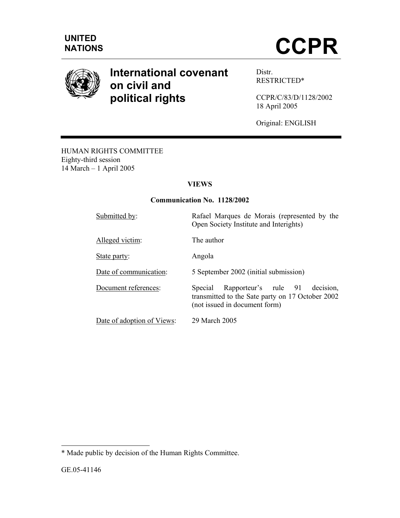

# **International covenant on civil and political rights**

Distr. RESTRICTED\*

CCPR/C/83/D/1128/2002 18 April 2005

Original: ENGLISH

HUMAN RIGHTS COMMITTEE Eighty-third session 14 March – 1 April 2005

## **VIEWS**

#### **Communication No. 1128/2002**

| Submitted by:              | Rafael Marques de Morais (represented by the<br>Open Society Institute and Interights)                                            |
|----------------------------|-----------------------------------------------------------------------------------------------------------------------------------|
| Alleged victim:            | The author                                                                                                                        |
| State party:               | Angola                                                                                                                            |
| Date of communication:     | 5 September 2002 (initial submission)                                                                                             |
| Document references:       | Rapporteur's rule 91<br>Special<br>decision.<br>transmitted to the Sate party on 17 October 2002<br>(not issued in document form) |
| Date of adoption of Views: | 29 March 2005                                                                                                                     |

<sup>\*</sup> Made public by decision of the Human Rights Committee.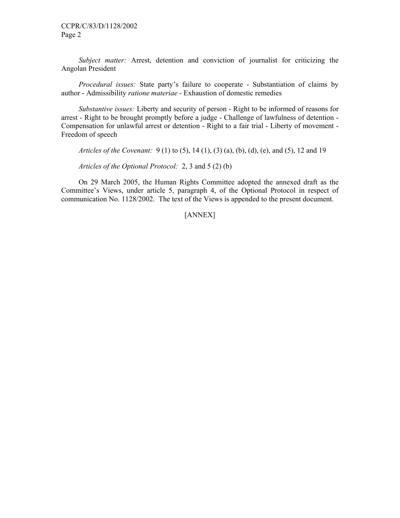*Subject matter:* Arrest, detention and conviction of journalist for criticizing the Angolan President

 *Procedural issues:* State party's failure to cooperate - Substantiation of claims by author - Admissibility *ratione materiae* - Exhaustion of domestic remedies

 *Substantive issues:* Liberty and security of person - Right to be informed of reasons for arrest - Right to be brought promptly before a judge - Challenge of lawfulness of detention - Compensation for unlawful arrest or detention - Right to a fair trial - Liberty of movement - Freedom of speech

 *Articles of the Covenant:* 9 (1) to (5), 14 (1), (3) (a), (b), (d), (e), and (5), 12 and 19

 *Articles of the Optional Protocol:* 2, 3 and 5 (2) (b)

 On 29 March 2005, the Human Rights Committee adopted the annexed draft as the Committee's Views, under article 5, paragraph 4, of the Optional Protocol in respect of communication No. 1128/2002. The text of the Views is appended to the present document.

[ANNEX]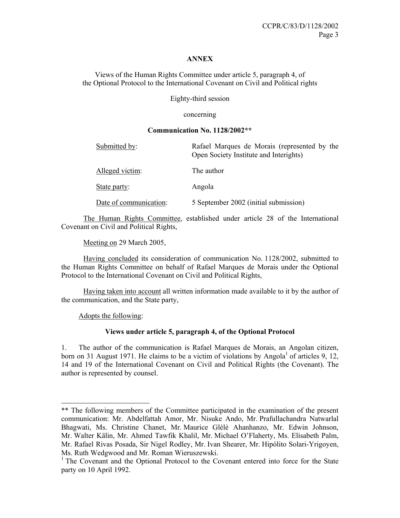#### **ANNEX**

Views of the Human Rights Committee under article 5, paragraph 4, of the Optional Protocol to the International Covenant on Civil and Political rights

Eighty-third session

concerning

#### **Communication No. 1128/2002\*\***

| Submitted by:          | Rafael Marques de Morais (represented by the<br>Open Society Institute and Interights) |
|------------------------|----------------------------------------------------------------------------------------|
| Alleged victim:        | The author                                                                             |
| State party:           | Angola                                                                                 |
| Date of communication: | 5 September 2002 (initial submission)                                                  |

 The Human Rights Committee, established under article 28 of the International Covenant on Civil and Political Rights,

Meeting on 29 March 2005,

 Having concluded its consideration of communication No. 1128/2002, submitted to the Human Rights Committee on behalf of Rafael Marques de Morais under the Optional Protocol to the International Covenant on Civil and Political Rights,

 Having taken into account all written information made available to it by the author of the communication, and the State party,

Adopts the following:

1

#### **Views under article 5, paragraph 4, of the Optional Protocol**

1. The author of the communication is Rafael Marques de Morais, an Angolan citizen, born on 31 August 1971. He claims to be a victim of violations by Angola<sup>1</sup> of articles 9, 12, 14 and 19 of the International Covenant on Civil and Political Rights (the Covenant). The author is represented by counsel.

<sup>\*\*</sup> The following members of the Committee participated in the examination of the present communication: Mr. Abdelfattah Amor, Mr. Nisuke Ando, Mr. Prafullachandra Natwarlal Bhagwati, Ms. Christine Chanet, Mr. Maurice Glèlè Ahanhanzo, Mr. Edwin Johnson, Mr. Walter Kälin, Mr. Ahmed Tawfik Khalil, Mr. Michael O'Flaherty, Ms. Elisabeth Palm, Mr. Rafael Rivas Posada, Sir Nigel Rodley, Mr. Ivan Shearer, Mr. Hipólito Solari-Yrigoyen, Ms. Ruth Wedgwood and Mr. Roman Wieruszewski.

<sup>&</sup>lt;sup>1</sup> The Covenant and the Optional Protocol to the Covenant entered into force for the State party on 10 April 1992.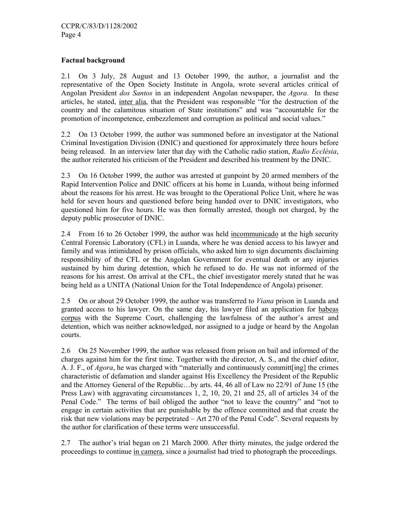#### **Factual background**

2.1 On 3 July, 28 August and 13 October 1999, the author, a journalist and the representative of the Open Society Institute in Angola, wrote several articles critical of Angolan President *dos Santos* in an independent Angolan newspaper, the *Agora*. In these articles, he stated, inter alia, that the President was responsible "for the destruction of the country and the calamitous situation of State institutions" and was "accountable for the promotion of incompetence, embezzlement and corruption as political and social values."

2.2 On 13 October 1999, the author was summoned before an investigator at the National Criminal Investigation Division (DNIC) and questioned for approximately three hours before being released. In an interview later that day with the Catholic radio station, *Radio Ecclésia*, the author reiterated his criticism of the President and described his treatment by the DNIC.

2.3 On 16 October 1999, the author was arrested at gunpoint by 20 armed members of the Rapid Intervention Police and DNIC officers at his home in Luanda, without being informed about the reasons for his arrest. He was brought to the Operational Police Unit, where he was held for seven hours and questioned before being handed over to DNIC investigators, who questioned him for five hours. He was then formally arrested, though not charged, by the deputy public prosecutor of DNIC.

2.4 From 16 to 26 October 1999, the author was held incommunicado at the high security Central Forensic Laboratory (CFL) in Luanda, where he was denied access to his lawyer and family and was intimidated by prison officials, who asked him to sign documents disclaiming responsibility of the CFL or the Angolan Government for eventual death or any injuries sustained by him during detention, which he refused to do. He was not informed of the reasons for his arrest. On arrival at the CFL, the chief investigator merely stated that he was being held as a UNITA (National Union for the Total Independence of Angola) prisoner.

2.5 On or about 29 October 1999, the author was transferred to *Viana* prison in Luanda and granted access to his lawyer. On the same day, his lawyer filed an application for habeas corpus with the Supreme Court, challenging the lawfulness of the author's arrest and detention, which was neither acknowledged, nor assigned to a judge or heard by the Angolan courts.

2.6 On 25 November 1999, the author was released from prison on bail and informed of the charges against him for the first time. Together with the director, A. S., and the chief editor, A. J. F., of *Agora*, he was charged with "materially and continuously committ[ing] the crimes characteristic of defamation and slander against His Excellency the President of the Republic and the Attorney General of the Republic…by arts. 44, 46 all of Law no 22/91 of June 15 (the Press Law) with aggravating circumstances 1, 2, 10, 20, 21 and 25, all of articles 34 of the Penal Code." The terms of bail obliged the author "not to leave the country" and "not to engage in certain activities that are punishable by the offence committed and that create the risk that new violations may be perpetrated – Art 270 of the Penal Code". Several requests by the author for clarification of these terms were unsuccessful.

2.7 The author's trial began on 21 March 2000. After thirty minutes, the judge ordered the proceedings to continue in camera, since a journalist had tried to photograph the proceedings.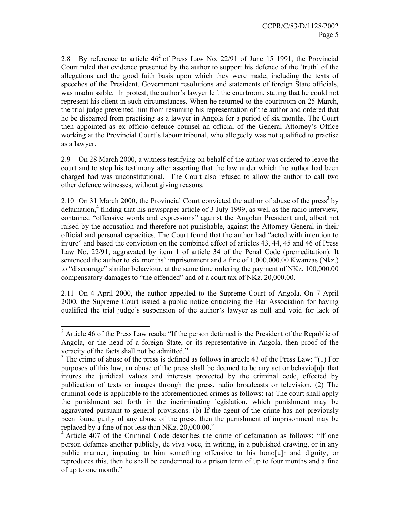2.8 By reference to article  $46<sup>2</sup>$  of Press Law No. 22/91 of June 15 1991, the Provincial Court ruled that evidence presented by the author to support his defence of the 'truth' of the allegations and the good faith basis upon which they were made, including the texts of speeches of the President, Government resolutions and statements of foreign State officials, was inadmissible. In protest, the author's lawyer left the courtroom, stating that he could not represent his client in such circumstances. When he returned to the courtroom on 25 March, the trial judge prevented him from resuming his representation of the author and ordered that he be disbarred from practising as a lawyer in Angola for a period of six months. The Court then appointed as ex officio defence counsel an official of the General Attorney's Office working at the Provincial Court's labour tribunal, who allegedly was not qualified to practise as a lawyer.

2.9 On 28 March 2000, a witness testifying on behalf of the author was ordered to leave the court and to stop his testimony after asserting that the law under which the author had been charged had was unconstitutional. The Court also refused to allow the author to call two other defence witnesses, without giving reasons.

2.10 On 31 March 2000, the Provincial Court convicted the author of abuse of the press<sup>3</sup> by defamation,<sup>4</sup> finding that his newspaper article of 3 July 1999, as well as the radio interview, contained "offensive words and expressions" against the Angolan President and, albeit not raised by the accusation and therefore not punishable, against the Attorney-General in their official and personal capacities. The Court found that the author had "acted with intention to injure" and based the conviction on the combined effect of articles 43, 44, 45 and 46 of Press Law No. 22/91, aggravated by item 1 of article 34 of the Penal Code (premeditation). It sentenced the author to six months' imprisonment and a fine of 1,000,000.00 Kwanzas (Nkz.) to "discourage" similar behaviour, at the same time ordering the payment of NKz. 100,000.00 compensatory damages to "the offended" and of a court tax of NKz. 20,000.00.

2.11 On 4 April 2000, the author appealed to the Supreme Court of Angola. On 7 April 2000, the Supreme Court issued a public notice criticizing the Bar Association for having qualified the trial judge's suspension of the author's lawyer as null and void for lack of

 $2^2$  Article 46 of the Press Law reads: "If the person defamed is the President of the Republic of Angola, or the head of a foreign State, or its representative in Angola, then proof of the veracity of the facts shall not be admitted."

 $3$  The crime of abuse of the press is defined as follows in article 43 of the Press Law: "(1) For purposes of this law, an abuse of the press shall be deemed to be any act or behavio[u]r that injures the juridical values and interests protected by the criminal code, effected by publication of texts or images through the press, radio broadcasts or television. (2) The criminal code is applicable to the aforementioned crimes as follows: (a) The court shall apply the punishment set forth in the incriminating legislation, which punishment may be aggravated pursuant to general provisions. (b) If the agent of the crime has not previously been found guilty of any abuse of the press, then the punishment of imprisonment may be replaced by a fine of not less than NKz. 20,000.00."

<sup>4</sup> Article 407 of the Criminal Code describes the crime of defamation as follows: "If one person defames another publicly, de viva voce, in writing, in a published drawing, or in any public manner, imputing to him something offensive to his hono[u]r and dignity, or reproduces this, then he shall be condemned to a prison term of up to four months and a fine of up to one month."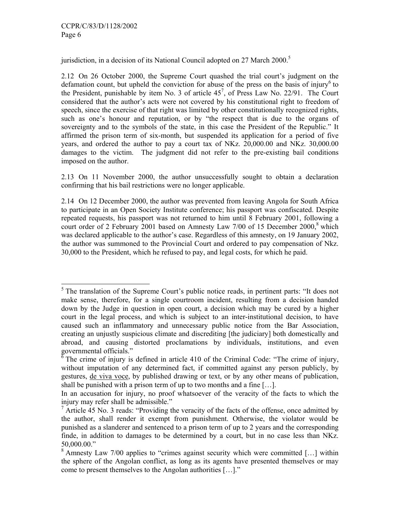-

jurisdiction, in a decision of its National Council adopted on 27 March 2000.<sup>5</sup>

2.12 On 26 October 2000, the Supreme Court quashed the trial court's judgment on the defamation count, but upheld the conviction for abuse of the press on the basis of injury<sup>6</sup> to the President, punishable by item No. 3 of article  $45^7$ , of Press Law No. 22/91. The Court considered that the author's acts were not covered by his constitutional right to freedom of speech, since the exercise of that right was limited by other constitutionally recognized rights, such as one's honour and reputation, or by "the respect that is due to the organs of sovereignty and to the symbols of the state, in this case the President of the Republic." It affirmed the prison term of six-month, but suspended its application for a period of five years, and ordered the author to pay a court tax of NKz. 20,000.00 and NKz. 30,000.00 damages to the victim. The judgment did not refer to the pre-existing bail conditions imposed on the author.

2.13 On 11 November 2000, the author unsuccessfully sought to obtain a declaration confirming that his bail restrictions were no longer applicable.

2.14 On 12 December 2000, the author was prevented from leaving Angola for South Africa to participate in an Open Society Institute conference; his passport was confiscated. Despite repeated requests, his passport was not returned to him until 8 February 2001, following a court order of 2 February 2001 based on Amnesty Law 7/00 of 15 December 2000,<sup>8</sup> which was declared applicable to the author's case. Regardless of this amnesty, on 19 January 2002, the author was summoned to the Provincial Court and ordered to pay compensation of Nkz. 30,000 to the President, which he refused to pay, and legal costs, for which he paid.

 $<sup>5</sup>$  The translation of the Supreme Court's public notice reads, in pertinent parts: "It does not</sup> make sense, therefore, for a single courtroom incident, resulting from a decision handed down by the Judge in question in open court, a decision which may be cured by a higher court in the legal process, and which is subject to an inter-institutional decision, to have caused such an inflammatory and unnecessary public notice from the Bar Association, creating an unjustly suspicious climate and discrediting [the judiciary] both domestically and abroad, and causing distorted proclamations by individuals, institutions, and even governmental officials."

<sup>6</sup> The crime of injury is defined in article 410 of the Criminal Code: "The crime of injury, without imputation of any determined fact, if committed against any person publicly, by gestures, de viva voce, by published drawing or text, or by any other means of publication, shall be punished with a prison term of up to two months and a fine […].

In an accusation for injury, no proof whatsoever of the veracity of the facts to which the injury may refer shall be admissible."

 $\frac{7}{1}$  Article 45 No. 3 reads: "Providing the veracity of the facts of the offense, once admitted by the author, shall render it exempt from punishment. Otherwise, the violator would be punished as a slanderer and sentenced to a prison term of up to 2 years and the corresponding finde, in addition to damages to be determined by a court, but in no case less than NKz. 50,000.00."

 $8$  Amnesty Law 7/00 applies to "crimes against security which were committed [...] within the sphere of the Angolan conflict, as long as its agents have presented themselves or may come to present themselves to the Angolan authorities […]."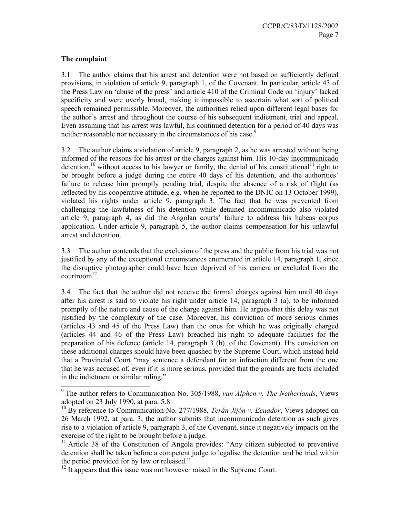### **The complaint**

3.1 The author claims that his arrest and detention were not based on sufficiently defined provisions, in violation of article 9, paragraph 1, of the Covenant. In particular, article 43 of the Press Law on 'abuse of the press' and article 410 of the Criminal Code on 'injury' lacked specificity and were overly broad, making it impossible to ascertain what sort of political speech remained permissible. Moreover, the authorities relied upon different legal bases for the author's arrest and throughout the course of his subsequent indictment, trial and appeal. Even assuming that his arrest was lawful, his continued detention for a period of 40 days was neither reasonable nor necessary in the circumstances of his case.<sup>9</sup>

3.2 The author claims a violation of article 9, paragraph 2, as he was arrested without being informed of the reasons for his arrest or the charges against him. His 10-day incommunicado detention,<sup>10</sup> without access to his lawyer or family, the denial of his constitutional<sup>11</sup> right to be brought before a judge during the entire 40 days of his detention, and the authorities' failure to release him promptly pending trial, despite the absence of a risk of flight (as reflected by his cooperative attitude, e.g. when he reported to the DNIC on 13 October 1999), violated his rights under article 9, paragraph 3. The fact that he was prevented from challenging the lawfulness of his detention while detained incommunicado also violated article 9, paragraph 4, as did the Angolan courts' failure to address his habeas corpus application. Under article 9, paragraph 5, the author claims compensation for his unlawful arrest and detention.

3.3 The author contends that the exclusion of the press and the public from his trial was not justified by any of the exceptional circumstances enumerated in article 14, paragraph 1, since the disruptive photographer could have been deprived of his camera or excluded from the courtroom $^{12}$ .

3.4 The fact that the author did not receive the formal charges against him until 40 days after his arrest is said to violate his right under article 14, paragraph 3 (a), to be informed promptly of the nature and cause of the charge against him. He argues that this delay was not justified by the complexity of the case. Moreover, his conviction of more serious crimes (articles 43 and 45 of the Press Law) than the ones for which he was originally charged (articles 44 and 46 of the Press Law) breached his right to adequate facilities for the preparation of his defence (article 14, paragraph 3 (b), of the Covenant). His conviction on these additional charges should have been quashed by the Supreme Court, which instead held that a Provincial Court "may sentence a defendant for an infraction different from the one that he was accused of, even if it is more serious, provided that the grounds are facts included in the indictment or similar ruling."

 9 The author refers to Communication No. 305/1988, *van Alphen v. The Netherlands*, Views adopted on 23 July 1990, at para. 5.8.

<sup>&</sup>lt;sup>10</sup> By reference to Communication No. 277/1988, *Terán Jijón v. Ecuador*, Views adopted on 26 March 1992, at para. 3, the author submits that incommunicado detention as such gives rise to a violation of article 9, paragraph 3, of the Covenant, since it negatively impacts on the exercise of the right to be brought before a judge.

<sup>&</sup>lt;sup>11</sup> Article 38 of the Constitution of Angola provides: "Any citizen subjected to preventive detention shall be taken before a competent judge to legalise the detention and be tried within the period provided for by law or released."

 $12$  It appears that this issue was not however raised in the Supreme Court.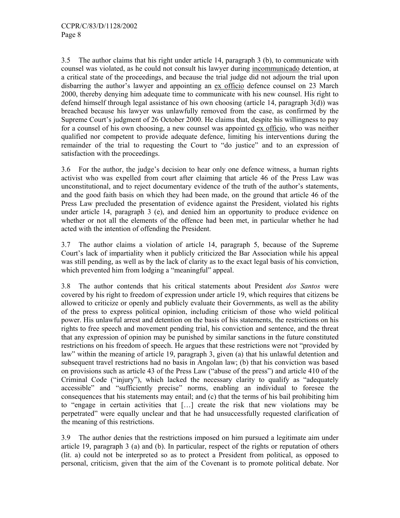3.5 The author claims that his right under article 14, paragraph 3 (b), to communicate with counsel was violated, as he could not consult his lawyer during incommunicado detention, at a critical state of the proceedings, and because the trial judge did not adjourn the trial upon disbarring the author's lawyer and appointing an ex officio defence counsel on 23 March 2000, thereby denying him adequate time to communicate with his new counsel. His right to defend himself through legal assistance of his own choosing (article 14, paragraph 3(d)) was breached because his lawyer was unlawfully removed from the case, as confirmed by the Supreme Court's judgment of 26 October 2000. He claims that, despite his willingness to pay for a counsel of his own choosing, a new counsel was appointed ex officio, who was neither qualified nor competent to provide adequate defence, limiting his interventions during the remainder of the trial to requesting the Court to "do justice" and to an expression of satisfaction with the proceedings.

3.6 For the author, the judge's decision to hear only one defence witness, a human rights activist who was expelled from court after claiming that article 46 of the Press Law was unconstitutional, and to reject documentary evidence of the truth of the author's statements, and the good faith basis on which they had been made, on the ground that article 46 of the Press Law precluded the presentation of evidence against the President, violated his rights under article 14, paragraph 3 (e), and denied him an opportunity to produce evidence on whether or not all the elements of the offence had been met, in particular whether he had acted with the intention of offending the President.

3.7 The author claims a violation of article 14, paragraph 5, because of the Supreme Court's lack of impartiality when it publicly criticized the Bar Association while his appeal was still pending, as well as by the lack of clarity as to the exact legal basis of his conviction, which prevented him from lodging a "meaningful" appeal.

3.8 The author contends that his critical statements about President *dos Santos* were covered by his right to freedom of expression under article 19, which requires that citizens be allowed to criticize or openly and publicly evaluate their Governments, as well as the ability of the press to express political opinion, including criticism of those who wield political power. His unlawful arrest and detention on the basis of his statements, the restrictions on his rights to free speech and movement pending trial, his conviction and sentence, and the threat that any expression of opinion may be punished by similar sanctions in the future constituted restrictions on his freedom of speech. He argues that these restrictions were not "provided by law" within the meaning of article 19, paragraph 3, given (a) that his unlawful detention and subsequent travel restrictions had no basis in Angolan law; (b) that his conviction was based on provisions such as article 43 of the Press Law ("abuse of the press") and article 410 of the Criminal Code ("injury"), which lacked the necessary clarity to qualify as "adequately accessible" and "sufficiently precise" norms, enabling an individual to foresee the consequences that his statements may entail; and (c) that the terms of his bail prohibiting him to "engage in certain activities that […] create the risk that new violations may be perpetrated" were equally unclear and that he had unsuccessfully requested clarification of the meaning of this restrictions.

3.9 The author denies that the restrictions imposed on him pursued a legitimate aim under article 19, paragraph 3 (a) and (b). In particular, respect of the rights or reputation of others (lit. a) could not be interpreted so as to protect a President from political, as opposed to personal, criticism, given that the aim of the Covenant is to promote political debate. Nor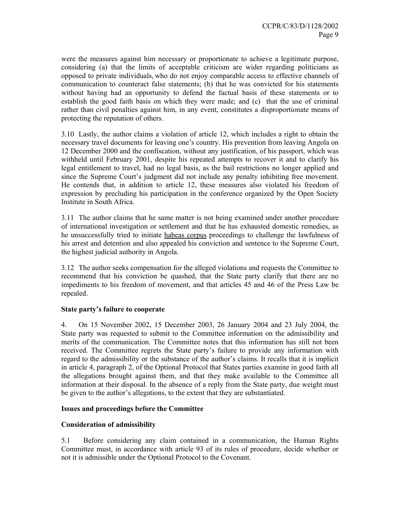were the measures against him necessary or proportionate to achieve a legitimate purpose, considering (a) that the limits of acceptable criticism are wider regarding politicians as opposed to private individuals, who do not enjoy comparable access to effective channels of communication to counteract false statements; (b) that he was convicted for his statements without having had an opportunity to defend the factual basis of these statements or to establish the good faith basis on which they were made; and (c) that the use of criminal rather than civil penalties against him, in any event, constitutes a disproportionate means of protecting the reputation of others.

3.10 Lastly, the author claims a violation of article 12, which includes a right to obtain the necessary travel documents for leaving one's country. His prevention from leaving Angola on 12 December 2000 and the confiscation, without any justification, of his passport, which was withheld until February 2001, despite his repeated attempts to recover it and to clarify his legal entitlement to travel, had no legal basis, as the bail restrictions no longer applied and since the Supreme Court's judgment did not include any penalty inhibiting free movement. He contends that, in addition to article 12, these measures also violated his freedom of expression by precluding his participation in the conference organized by the Open Society Institute in South Africa.

3.11 The author claims that he same matter is not being examined under another procedure of international investigation or settlement and that he has exhausted domestic remedies, as he unsuccessfully tried to initiate habeas corpus proceedings to challenge the lawfulness of his arrest and detention and also appealed his conviction and sentence to the Supreme Court, the highest judicial authority in Angola.

3.12 The author seeks compensation for the alleged violations and requests the Committee to recommend that his conviction be quashed, that the State party clarify that there are no impediments to his freedom of movement, and that articles 45 and 46 of the Press Law be repealed.

#### **State party's failure to cooperate**

4. On 15 November 2002, 15 December 2003, 26 January 2004 and 23 July 2004, the State party was requested to submit to the Committee information on the admissibility and merits of the communication. The Committee notes that this information has still not been received. The Committee regrets the State party's failure to provide any information with regard to the admissibility or the substance of the author's claims. It recalls that it is implicit in article 4, paragraph 2, of the Optional Protocol that States parties examine in good faith all the allegations brought against them, and that they make available to the Committee all information at their disposal. In the absence of a reply from the State party, due weight must be given to the author's allegations, to the extent that they are substantiated.

#### **Issues and proceedings before the Committee**

#### **Consideration of admissibility**

5.1 Before considering any claim contained in a communication, the Human Rights Committee must, in accordance with article 93 of its rules of procedure, decide whether or not it is admissible under the Optional Protocol to the Covenant.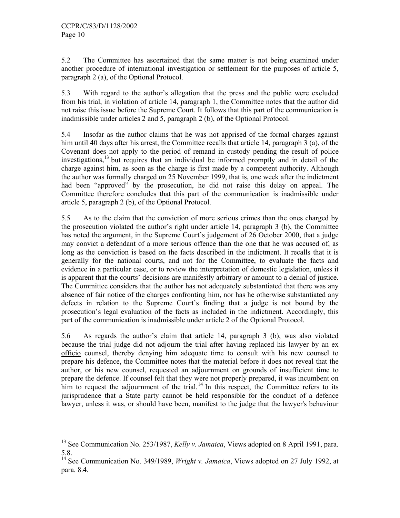-

5.2 The Committee has ascertained that the same matter is not being examined under another procedure of international investigation or settlement for the purposes of article 5, paragraph 2 (a), of the Optional Protocol.

5.3 With regard to the author's allegation that the press and the public were excluded from his trial, in violation of article 14, paragraph 1, the Committee notes that the author did not raise this issue before the Supreme Court. It follows that this part of the communication is inadmissible under articles 2 and 5, paragraph 2 (b), of the Optional Protocol.

5.4 Insofar as the author claims that he was not apprised of the formal charges against him until 40 days after his arrest, the Committee recalls that article 14, paragraph 3 (a), of the Covenant does not apply to the period of remand in custody pending the result of police investigations, $13$  but requires that an individual be informed promptly and in detail of the charge against him, as soon as the charge is first made by a competent authority. Although the author was formally charged on 25 November 1999, that is, one week after the indictment had been "approved" by the prosecution, he did not raise this delay on appeal. The Committee therefore concludes that this part of the communication is inadmissible under article 5, paragraph 2 (b), of the Optional Protocol.

5.5 As to the claim that the conviction of more serious crimes than the ones charged by the prosecution violated the author's right under article 14, paragraph 3 (b), the Committee has noted the argument, in the Supreme Court's judgement of 26 October 2000, that a judge may convict a defendant of a more serious offence than the one that he was accused of, as long as the conviction is based on the facts described in the indictment. It recalls that it is generally for the national courts, and not for the Committee, to evaluate the facts and evidence in a particular case, or to review the interpretation of domestic legislation, unless it is apparent that the courts' decisions are manifestly arbitrary or amount to a denial of justice. The Committee considers that the author has not adequately substantiated that there was any absence of fair notice of the charges confronting him, nor has he otherwise substantiated any defects in relation to the Supreme Court's finding that a judge is not bound by the prosecution's legal evaluation of the facts as included in the indictment. Accordingly, this part of the communication is inadmissible under article 2 of the Optional Protocol.

5.6 As regards the author's claim that article 14, paragraph 3 (b), was also violated because the trial judge did not adjourn the trial after having replaced his lawyer by an ex officio counsel, thereby denying him adequate time to consult with his new counsel to prepare his defence, the Committee notes that the material before it does not reveal that the author, or his new counsel, requested an adjournment on grounds of insufficient time to prepare the defence. If counsel felt that they were not properly prepared, it was incumbent on him to request the adjournment of the trial.<sup>14</sup> In this respect, the Committee refers to its jurisprudence that a State party cannot be held responsible for the conduct of a defence lawyer, unless it was, or should have been, manifest to the judge that the lawyer's behaviour

<sup>&</sup>lt;sup>13</sup> See Communication No. 253/1987, *Kelly v. Jamaica*, Views adopted on 8 April 1991, para. 5.8.

<sup>14</sup> See Communication No. 349/1989, *Wright v. Jamaica*, Views adopted on 27 July 1992, at para. 8.4.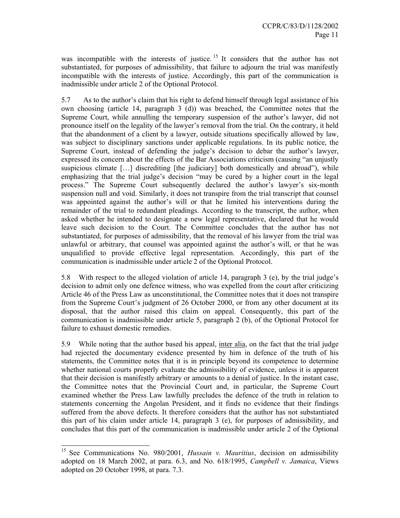was incompatible with the interests of justice.<sup>15</sup> It considers that the author has not substantiated, for purposes of admissibility, that failure to adjourn the trial was manifestly incompatible with the interests of justice. Accordingly, this part of the communication is inadmissible under article 2 of the Optional Protocol.

5.7 As to the author's claim that his right to defend himself through legal assistance of his own choosing (article 14, paragraph 3 (d)) was breached, the Committee notes that the Supreme Court, while annulling the temporary suspension of the author's lawyer, did not pronounce itself on the legality of the lawyer's removal from the trial. On the contrary, it held that the abandonment of a client by a lawyer, outside situations specifically allowed by law, was subject to disciplinary sanctions under applicable regulations. In its public notice, the Supreme Court, instead of defending the judge's decision to debar the author's lawyer, expressed its concern about the effects of the Bar Associations criticism (causing "an unjustly suspicious climate […] discrediting [the judiciary] both domestically and abroad"), while emphasizing that the trial judge's decision "may be cured by a higher court in the legal process." The Supreme Court subsequently declared the author's lawyer's six-month suspension null and void. Similarly, it does not transpire from the trial transcript that counsel was appointed against the author's will or that he limited his interventions during the remainder of the trial to redundant pleadings. According to the transcript, the author, when asked whether he intended to designate a new legal representative, declared that he would leave such decision to the Court. The Committee concludes that the author has not substantiated, for purposes of admissibility, that the removal of his lawyer from the trial was unlawful or arbitrary, that counsel was appointed against the author's will, or that he was unqualified to provide effective legal representation. Accordingly, this part of the communication is inadmissible under article 2 of the Optional Protocol.

5.8 With respect to the alleged violation of article 14, paragraph 3 (e), by the trial judge's decision to admit only one defence witness, who was expelled from the court after criticizing Article 46 of the Press Law as unconstitutional, the Committee notes that it does not transpire from the Supreme Court's judgment of 26 October 2000, or from any other document at its disposal, that the author raised this claim on appeal. Consequently, this part of the communication is inadmissible under article 5, paragraph 2 (b), of the Optional Protocol for failure to exhaust domestic remedies.

5.9 While noting that the author based his appeal, inter alia, on the fact that the trial judge had rejected the documentary evidence presented by him in defence of the truth of his statements, the Committee notes that it is in principle beyond its competence to determine whether national courts properly evaluate the admissibility of evidence, unless it is apparent that their decision is manifestly arbitrary or amounts to a denial of justice. In the instant case, the Committee notes that the Provincial Court and, in particular, the Supreme Court examined whether the Press Law lawfully precludes the defence of the truth in relation to statements concerning the Angolan President, and it finds no evidence that their findings suffered from the above defects. It therefore considers that the author has not substantiated this part of his claim under article 14, paragraph 3 (e), for purposes of admissibility, and concludes that this part of the communication is inadmissible under article 2 of the Optional

<sup>&</sup>lt;sup>15</sup> See Communications No. 980/2001, *Hussain v. Mauritius*, decision on admissibility adopted on 18 March 2002, at para. 6.3, and No. 618/1995, *Campbell v. Jamaica*, Views adopted on 20 October 1998, at para. 7.3.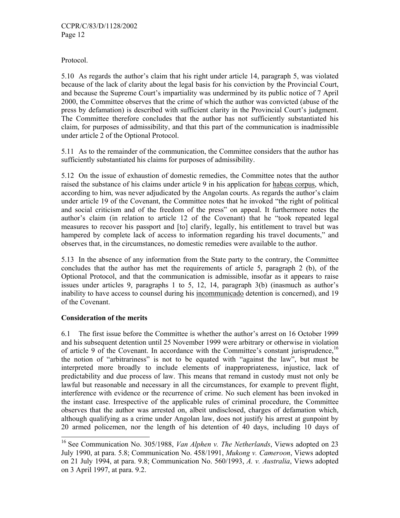Protocol.

5.10 As regards the author's claim that his right under article 14, paragraph 5, was violated because of the lack of clarity about the legal basis for his conviction by the Provincial Court, and because the Supreme Court's impartiality was undermined by its public notice of 7 April 2000, the Committee observes that the crime of which the author was convicted (abuse of the press by defamation) is described with sufficient clarity in the Provincial Court's judgment. The Committee therefore concludes that the author has not sufficiently substantiated his claim, for purposes of admissibility, and that this part of the communication is inadmissible under article 2 of the Optional Protocol.

5.11 As to the remainder of the communication, the Committee considers that the author has sufficiently substantiated his claims for purposes of admissibility.

5.12 On the issue of exhaustion of domestic remedies, the Committee notes that the author raised the substance of his claims under article 9 in his application for habeas corpus, which, according to him, was never adjudicated by the Angolan courts. As regards the author's claim under article 19 of the Covenant, the Committee notes that he invoked "the right of political and social criticism and of the freedom of the press" on appeal. It furthermore notes the author's claim (in relation to article 12 of the Covenant) that he "took repeated legal measures to recover his passport and [to] clarify, legally, his entitlement to travel but was hampered by complete lack of access to information regarding his travel documents," and observes that, in the circumstances, no domestic remedies were available to the author.

5.13 In the absence of any information from the State party to the contrary, the Committee concludes that the author has met the requirements of article 5, paragraph 2 (b), of the Optional Protocol, and that the communication is admissible, insofar as it appears to raise issues under articles 9, paragraphs 1 to 5, 12, 14, paragraph 3(b) (inasmuch as author's inability to have access to counsel during his incommunicado detention is concerned), and 19 of the Covenant.

## **Consideration of the merits**

-

6.1 The first issue before the Committee is whether the author's arrest on 16 October 1999 and his subsequent detention until 25 November 1999 were arbitrary or otherwise in violation of article 9 of the Covenant. In accordance with the Committee's constant jurisprudence,<sup>16</sup> the notion of "arbitrariness" is not to be equated with "against the law", but must be interpreted more broadly to include elements of inappropriateness, injustice, lack of predictability and due process of law. This means that remand in custody must not only be lawful but reasonable and necessary in all the circumstances, for example to prevent flight, interference with evidence or the recurrence of crime. No such element has been invoked in the instant case. Irrespective of the applicable rules of criminal procedure, the Committee observes that the author was arrested on, albeit undisclosed, charges of defamation which, although qualifying as a crime under Angolan law, does not justify his arrest at gunpoint by 20 armed policemen, nor the length of his detention of 40 days, including 10 days of

<sup>16</sup> See Communication No. 305/1988, *Van Alphen v. The Netherlands*, Views adopted on 23 July 1990, at para. 5.8; Communication No. 458/1991, *Mukong v. Cameroon*, Views adopted on 21 July 1994, at para. 9.8; Communication No. 560/1993, *A. v. Australia*, Views adopted on 3 April 1997, at para. 9.2.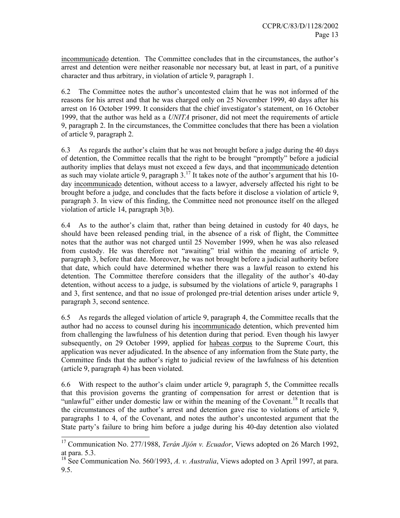incommunicado detention. The Committee concludes that in the circumstances, the author's arrest and detention were neither reasonable nor necessary but, at least in part, of a punitive character and thus arbitrary, in violation of article 9, paragraph 1.

6.2 The Committee notes the author's uncontested claim that he was not informed of the reasons for his arrest and that he was charged only on 25 November 1999, 40 days after his arrest on 16 October 1999. It considers that the chief investigator's statement, on 16 October 1999, that the author was held as a *UNITA* prisoner, did not meet the requirements of article 9, paragraph 2. In the circumstances, the Committee concludes that there has been a violation of article 9, paragraph 2.

6.3 As regards the author's claim that he was not brought before a judge during the 40 days of detention, the Committee recalls that the right to be brought "promptly" before a judicial authority implies that delays must not exceed a few days, and that incommunicado detention as such may violate article 9, paragraph 3.<sup>17</sup> It takes note of the author's argument that his 10day incommunicado detention, without access to a lawyer, adversely affected his right to be brought before a judge, and concludes that the facts before it disclose a violation of article 9, paragraph 3. In view of this finding, the Committee need not pronounce itself on the alleged violation of article 14, paragraph 3(b).

6.4 As to the author's claim that, rather than being detained in custody for 40 days, he should have been released pending trial, in the absence of a risk of flight, the Committee notes that the author was not charged until 25 November 1999, when he was also released from custody. He was therefore not "awaiting" trial within the meaning of article 9, paragraph 3, before that date. Moreover, he was not brought before a judicial authority before that date, which could have determined whether there was a lawful reason to extend his detention. The Committee therefore considers that the illegality of the author's 40-day detention, without access to a judge, is subsumed by the violations of article 9, paragraphs 1 and 3, first sentence, and that no issue of prolonged pre-trial detention arises under article 9, paragraph 3, second sentence.

6.5 As regards the alleged violation of article 9, paragraph 4, the Committee recalls that the author had no access to counsel during his incommunicado detention, which prevented him from challenging the lawfulness of his detention during that period. Even though his lawyer subsequently, on 29 October 1999, applied for habeas corpus to the Supreme Court, this application was never adjudicated. In the absence of any information from the State party, the Committee finds that the author's right to judicial review of the lawfulness of his detention (article 9, paragraph 4) has been violated.

6.6 With respect to the author's claim under article 9, paragraph 5, the Committee recalls that this provision governs the granting of compensation for arrest or detention that is "unlawful" either under domestic law or within the meaning of the Covenant.<sup>18</sup> It recalls that the circumstances of the author's arrest and detention gave rise to violations of article 9, paragraphs 1 to 4, of the Covenant, and notes the author's uncontested argument that the State party's failure to bring him before a judge during his 40-day detention also violated

<sup>17</sup> Communication No. 277/1988, *Terán Jijón v. Ecuador*, Views adopted on 26 March 1992, at para. 5.3.

<sup>&</sup>lt;sup>18</sup> See Communication No. 560/1993, A. v. Australia, Views adopted on 3 April 1997, at para. 9.5.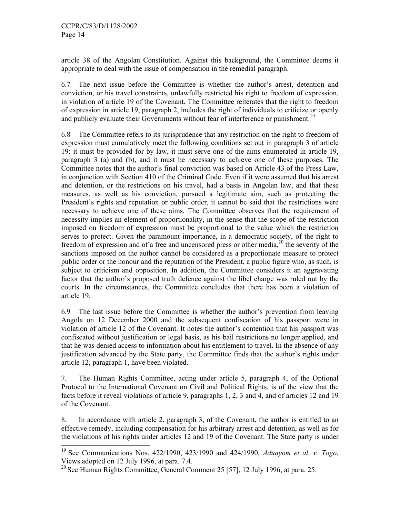-

article 38 of the Angolan Constitution. Against this background, the Committee deems it appropriate to deal with the issue of compensation in the remedial paragraph.

6.7 The next issue before the Committee is whether the author's arrest, detention and conviction, or his travel constraints, unlawfully restricted his right to freedom of expression, in violation of article 19 of the Covenant. The Committee reiterates that the right to freedom of expression in article 19, paragraph 2, includes the right of individuals to criticize or openly and publicly evaluate their Governments without fear of interference or punishment.<sup>19</sup>

6.8 The Committee refers to its jurisprudence that any restriction on the right to freedom of expression must cumulatively meet the following conditions set out in paragraph 3 of article 19: it must be provided for by law, it must serve one of the aims enumerated in article 19, paragraph 3 (a) and (b), and it must be necessary to achieve one of these purposes. The Committee notes that the author's final conviction was based on Article 43 of the Press Law, in conjunction with Section 410 of the Criminal Code. Even if it were assumed that his arrest and detention, or the restrictions on his travel, had a basis in Angolan law, and that these measures, as well as his conviction, pursued a legitimate aim, such as protecting the President's rights and reputation or public order, it cannot be said that the restrictions were necessary to achieve one of these aims. The Committee observes that the requirement of necessity implies an element of proportionality, in the sense that the scope of the restriction imposed on freedom of expression must be proportional to the value which the restriction serves to protect. Given the paramount importance, in a democratic society, of the right to freedom of expression and of a free and uncensored press or other media,  $^{20}$  the severity of the sanctions imposed on the author cannot be considered as a proportionate measure to protect public order or the honour and the reputation of the President, a public figure who, as such, is subject to criticism and opposition. In addition, the Committee considers it an aggravating factor that the author's proposed truth defence against the libel charge was ruled out by the courts. In the circumstances, the Committee concludes that there has been a violation of article 19.

6.9 The last issue before the Committee is whether the author's prevention from leaving Angola on 12 December 2000 and the subsequent confiscation of his passport were in violation of article 12 of the Covenant. It notes the author's contention that his passport was confiscated without justification or legal basis, as his bail restrictions no longer applied, and that he was denied access to information about his entitlement to travel. In the absence of any justification advanced by the State party, the Committee finds that the author's rights under article 12, paragraph 1, have been violated.

7. The Human Rights Committee, acting under article 5, paragraph 4, of the Optional Protocol to the International Covenant on Civil and Political Rights, is of the view that the facts before it reveal violations of article 9, paragraphs 1, 2, 3 and 4, and of articles 12 and 19 of the Covenant.

8. In accordance with article 2, paragraph 3, of the Covenant, the author is entitled to an effective remedy, including compensation for his arbitrary arrest and detention, as well as for the violations of his rights under articles 12 and 19 of the Covenant. The State party is under

<sup>19</sup> See Communications Nos. 422/1990, 423/1990 and 424/1990, *Aduayom et al. v. Togo*, Views adopted on 12 July 1996, at para. 7.4.

 $^{20}$  See Human Rights Committee, General Comment 25 [57], 12 July 1996, at para. 25.